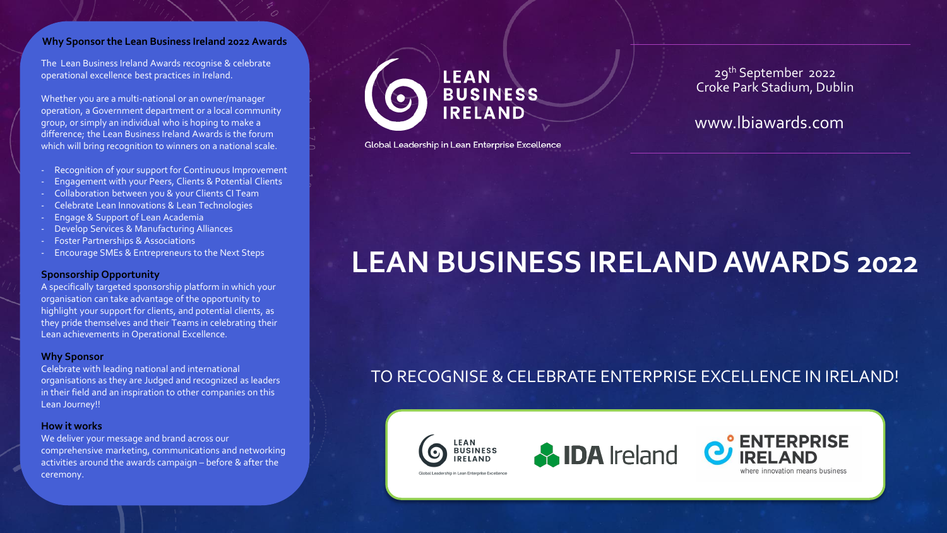#### **Why Sponsor the Lean Business Ireland 2022 Awards**

The Lean Business Ireland Awards recognise & celebrate operational excellence best practices in Ireland.

Whether you are a multi-national or an owner/manager operation, a Government department or a local community group, or simply an individual who is hoping to make a difference; the Lean Business Ireland Awards is the forum which will bring recognition to winners on a national scale.

- Recognition of your support for Continuous Improvement
- Engagement with your Peers, Clients & Potential Clients
- Collaboration between you & your Clients CI Team
- Celebrate Lean Innovations & Lean Technologies
- Engage & Support of Lean Academia
- Develop Services & Manufacturing Alliances
- Foster Partnerships & Associations
- Encourage SMEs & Entrepreneurs to the Next Steps

#### **Sponsorship Opportunity**

A specifically targeted sponsorship platform in which your organisation can take advantage of the opportunity to highlight your support for clients, and potential clients, as they pride themselves and their Teams in celebrating their Lean achievements in Operational Excellence.

#### **Why Sponsor**

Celebrate with leading national and international organisations as they are Judged and recognized as leaders in their field and an inspiration to other companies on this Lean Journey!!

#### **How it works**

We deliver your message and brand across our comprehensive marketing, communications and networking activities around the awards campaign – before & after the ceremony.



Global Leadership in Lean Enterprise Excellence

29th September 2022 Croke Park Stadium, Dublin

www.lbiawards.com

# **LEAN BUSINESS IRELAND AWARDS 2022**

## TO RECOGNISE & CELEBRATE ENTERPRISE EXCELLENCE IN IRELAND!

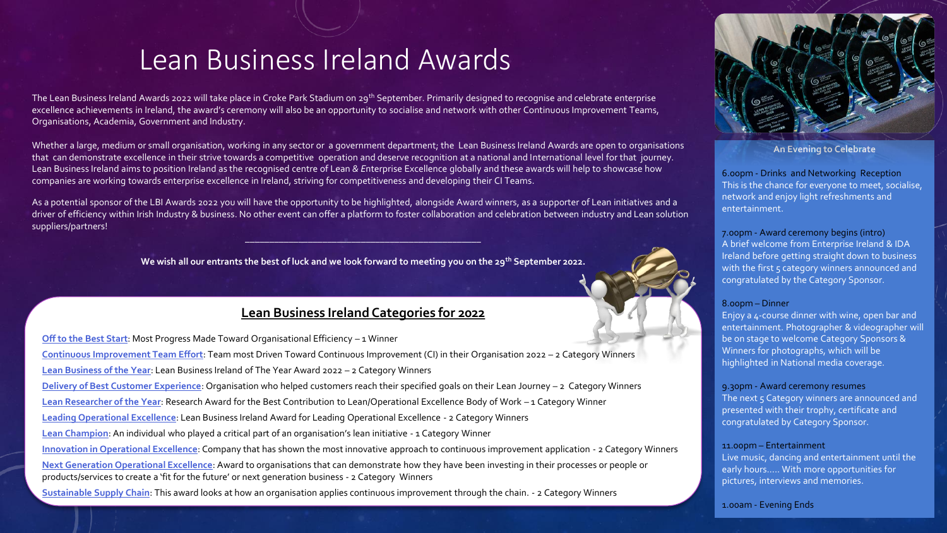# Lean Business Ireland Awards

The Lean Business Ireland Awards 2022 will take place in Croke Park Stadium on 29<sup>th</sup> September. Primarily designed to recognise and celebrate enterprise excellence achievements in Ireland, the award's ceremony will also be an opportunity to socialise and network with other Continuous Improvement Teams, Organisations, Academia, Government and Industry.

Whether a large, medium or small organisation, working in any sector or a government department; the Lean Business Ireland Awards are open to organisations that can demonstrate excellence in their strive towards a competitive operation and deserve recognition at a national and International level for that journey. Lean Business Ireland aims to position Ireland as the recognised centre of Lean *& E*nterprise Excellence globally and these awards will help to showcase how companies are working towards enterprise excellence in Ireland, striving for competitiveness and developing their CI Teams.

As a potential sponsor of the LBI Awards 2022 you will have the opportunity to be highlighted, alongside Award winners, as a supporter of Lean initiatives and a driver of efficiency within Irish Industry & business. No other event can offer a platform to foster collaboration and celebration between industry and Lean solution suppliers/partners!

**We wish all our entrants the best of luck and we look forward to meeting you on the 29th September 2022.**

 $\frac{1}{2}$  ,  $\frac{1}{2}$  ,  $\frac{1}{2}$  ,  $\frac{1}{2}$  ,  $\frac{1}{2}$  ,  $\frac{1}{2}$  ,  $\frac{1}{2}$  ,  $\frac{1}{2}$  ,  $\frac{1}{2}$  ,  $\frac{1}{2}$  ,  $\frac{1}{2}$  ,  $\frac{1}{2}$  ,  $\frac{1}{2}$  ,  $\frac{1}{2}$  ,  $\frac{1}{2}$  ,  $\frac{1}{2}$  ,  $\frac{1}{2}$  ,  $\frac{1}{2}$  ,  $\frac{1$ 

### **Lean Business Ireland Categories for 2022**

**Off to the Best Start**: Most Progress Made Toward Organisational Efficiency – 1 Winner **[Continuous Improvement Team Effort](http://lbiawards.com/team-award-for-the-team-most-driven-toward-ci-in-their-organisation/)**: Team most Driven Toward Continuous Improvement (CI) in their Organisation 2022 – 2 Category Winners **[Lean Business of the Year](http://lbiawards.com/lean-business-of-the-year-award/)**: Lean Business Ireland of The Year Award 2022 – 2 Category Winners **[Delivery of Best Customer Experience](http://lbiawards.com/customer-experience/)**: Organisation who helped customers reach their specified goals on their Lean Journey – 2 Category Winners **[Lean Researcher of the Year](http://lbiawards.com/research-award-for-the-best-contribution-to-lean-operational-excellence-body-of-work/)**: Research Award for the Best Contribution to Lean/Operational Excellence Body of Work – 1 Category Winner **[Leading Operational Excellence](http://lbiawards.com/leading-operational-excellence/)**: Lean Business Ireland Award for Leading Operational Excellence - 2 Category Winners **[Lean Champion](http://lbiawards.com/lean-champion/)**: An individual who played a critical part of an organisation's lean initiative - 1 Category Winner **[Innovation in Operational Excellence](http://lbiawards.com/innovation-in-operational-excellence/)**: Company that has shown the most innovative approach to continuous improvement application - 2 Category Winners **[Next Generation Operational Excellence](http://lbiawards.com/next-generation-operational-excellence/)**: Award to organisations that can demonstrate how they have been investing in their processes or people or products/services to create a 'fit for the future' or next generation business - 2 Category Winners **[Sustainable Supply Chain](http://lbiawards.com/sustainable-supply-chain/)**: This award looks at how an organisation applies continuous improvement through the chain. - 2 Category Winners



**An Evening to Celebrate**

6.00pm - Drinks and Networking Reception This is the chance for everyone to meet, socialise, network and enjoy light refreshments and entertainment.

7.00pm - Award ceremony begins (intro) A brief welcome from Enterprise Ireland & IDA Ireland before getting straight down to business with the first 5 category winners announced and congratulated by the Category Sponsor.

#### 8.00pm – Dinner

Enjoy a 4-course dinner with wine, open bar and entertainment. Photographer & videographer will be on stage to welcome Category Sponsors & Winners for photographs, which will be highlighted in National media coverage.

#### 9.30pm - Award ceremony resumes

The next 5 Category winners are announced and presented with their trophy, certificate and congratulated by Category Sponsor.

#### 11.00pm – Entertainment

Live music, dancing and entertainment until the early hours….. With more opportunities for pictures, interviews and memories.

1.00am - Evening Ends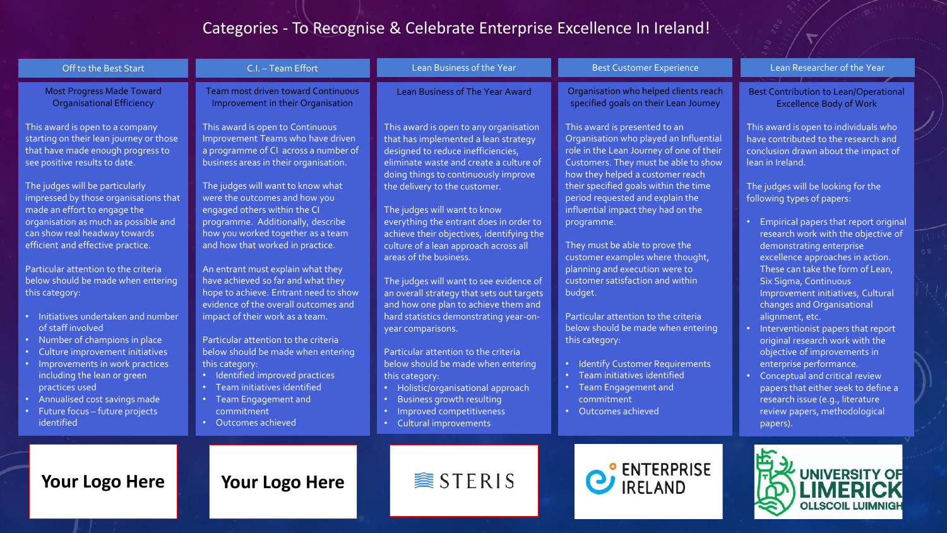## Categories - To Recognise & Celebrate Enterprise Excellence In Ireland!

| Off to the Best Start                                                                                                                                                                                                                                                                                                                                                                                                             | C.I. - Team Effort                                                                                                                                                                                                                                                                                                                                                                                                                                               | Lean Business of the Year                                                                                                                                                                                                                                                                                                                                                                                                                                                                                        | <b>Best Customer Experience</b>                                                                                                                                                                                                                                                                                                                                                       | Lean Researcher of the Year                                                                                                                                                                                                                                                                                                                                                                                                                                                                                     |
|-----------------------------------------------------------------------------------------------------------------------------------------------------------------------------------------------------------------------------------------------------------------------------------------------------------------------------------------------------------------------------------------------------------------------------------|------------------------------------------------------------------------------------------------------------------------------------------------------------------------------------------------------------------------------------------------------------------------------------------------------------------------------------------------------------------------------------------------------------------------------------------------------------------|------------------------------------------------------------------------------------------------------------------------------------------------------------------------------------------------------------------------------------------------------------------------------------------------------------------------------------------------------------------------------------------------------------------------------------------------------------------------------------------------------------------|---------------------------------------------------------------------------------------------------------------------------------------------------------------------------------------------------------------------------------------------------------------------------------------------------------------------------------------------------------------------------------------|-----------------------------------------------------------------------------------------------------------------------------------------------------------------------------------------------------------------------------------------------------------------------------------------------------------------------------------------------------------------------------------------------------------------------------------------------------------------------------------------------------------------|
| <b>Most Progress Made Toward</b><br><b>Organisational Efficiency</b>                                                                                                                                                                                                                                                                                                                                                              | <b>Team most driven toward Continuous</b><br>Improvement in their Organisation                                                                                                                                                                                                                                                                                                                                                                                   | <b>Lean Business of The Year Award</b>                                                                                                                                                                                                                                                                                                                                                                                                                                                                           | Organisation who helped clients reach<br>specified goals on their Lean Journey                                                                                                                                                                                                                                                                                                        | <b>Best Contribution to Lean/Operational</b><br><b>Excellence Body of Work</b>                                                                                                                                                                                                                                                                                                                                                                                                                                  |
| This award is open to a company<br>starting on their lean journey or those<br>that have made enough progress to<br>see positive results to date.<br>The judges will be particularly<br>impressed by those organisations that<br>made an effort to engage the<br>organisation as much as possible and<br>can show real headway towards                                                                                             | This award is open to Continuous<br>Improvement Teams who have driven<br>a programme of CI across a number of<br>business areas in their organisation.<br>The judges will want to know what<br>were the outcomes and how you<br>engaged others within the CI<br>programme. Additionally, describe<br>how you worked together as a team                                                                                                                           | This award is open to any organisation<br>that has implemented a lean strategy<br>designed to reduce inefficiencies,<br>eliminate waste and create a culture of<br>doing things to continuously improve<br>the delivery to the customer.<br>The judges will want to know<br>everything the entrant does in order to<br>achieve their objectives, identifying the                                                                                                                                                 | This award is presented to an<br>Organisation who played an Influential<br>role in the Lean Journey of one of their<br>Customers. They must be able to show<br>how they helped a customer reach<br>their specified goals within the time<br>period requested and explain the<br>influential impact they had on the<br>programme.                                                      | This award is open to individuals who<br>have contributed to the research and<br>conclusion drawn about the impact of<br>lean in Ireland.<br>The judges will be looking for the<br>following types of papers:<br>Empirical papers that report original<br>research work with the objective of                                                                                                                                                                                                                   |
| efficient and effective practice.<br>Particular attention to the criteria<br>below should be made when entering<br>this category:<br>Initiatives undertaken and number<br>of staff involved<br>Number of champions in place<br>Culture improvement initiatives<br>Improvements in work practices<br>including the lean or green<br>practices used<br>Annualised cost savings made<br>Future focus - future projects<br>identified | and how that worked in practice.<br>An entrant must explain what they<br>have achieved so far and what they<br>hope to achieve. Entrant need to show<br>evidence of the overall outcomes and<br>impact of their work as a team.<br>Particular attention to the criteria<br>below should be made when entering<br>this category:<br>Identified improved practices<br>Team initiatives identified<br><b>Team Engagement and</b><br>commitment<br>Outcomes achieved | culture of a lean approach across all<br>areas of the business.<br>The judges will want to see evidence of<br>an overall strategy that sets out targets<br>and how one plan to achieve them and<br>hard statistics demonstrating year-on-<br>year comparisons.<br>Particular attention to the criteria<br>below should be made when entering<br>this category:<br>Holistic/organisational approach<br>$\bullet$ .<br>Business growth resulting<br>Improved competitiveness<br>$\bullet$<br>Cultural improvements | They must be able to prove the<br>customer examples where thought,<br>planning and execution were to<br>customer satisfaction and within<br>budget.<br>Particular attention to the criteria<br>below should be made when entering<br>this category:<br><b>Identify Customer Requirements</b><br>Team initiatives identified<br>Team Engagement and<br>commitment<br>Outcomes achieved | demonstrating enterprise<br>excellence approaches in action.<br>These can take the form of Lean,<br>Six Sigma, Continuous<br>Improvement initiatives, Cultural<br>changes and Organisational<br>alignment, etc.<br>• Interventionist papers that report<br>original research work with the<br>objective of improvements in<br>enterprise performance.<br>Conceptual and critical review<br>papers that either seek to define a<br>research issue (e.g., literature<br>review papers, methodological<br>papers). |
| <b>Your Logo Here</b>                                                                                                                                                                                                                                                                                                                                                                                                             | <b>Your Logo Here</b>                                                                                                                                                                                                                                                                                                                                                                                                                                            | <b>● STERIS</b>                                                                                                                                                                                                                                                                                                                                                                                                                                                                                                  | <b>PENTERPRISE</b>                                                                                                                                                                                                                                                                                                                                                                    | <b>UNIVERSITY OF</b><br><b>OLLSCOIL LUIMNIGH</b>                                                                                                                                                                                                                                                                                                                                                                                                                                                                |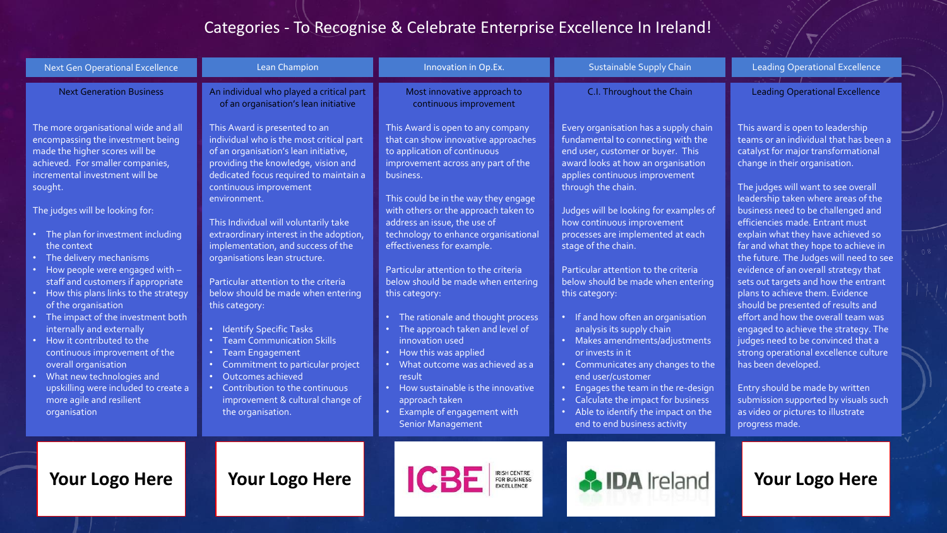## Categories - To Recognise & Celebrate Enterprise Excellence In Ireland!

| <b>Next Gen Operational Excellence</b>                                                                                                                                                                                                                                                                                                                                                                                                                                                                                                                                                                                                                                                                                                       | Lean Champion                                                                                                                                                                                                                                                                                                                                                                                                                                                                                                                                                                                                                                                                                                                                               | Innovation in Op.Ex.                                                                                                                                                                                                                                                                                                                                                                                                                                                                                                                                                                                                                                                                                                                        | <b>Sustainable Supply Chain</b>                                                                                                                                                                                                                                                                                                                                                                                                                                                                                                                                                                                                                                                                                                                                                         | <b>Leading Operational Excellence</b>                                                                                                                                                                                                                                                                                                                                                                                                                                                                                                                                                                                                                                                                                                                                                                                                                                                                               |
|----------------------------------------------------------------------------------------------------------------------------------------------------------------------------------------------------------------------------------------------------------------------------------------------------------------------------------------------------------------------------------------------------------------------------------------------------------------------------------------------------------------------------------------------------------------------------------------------------------------------------------------------------------------------------------------------------------------------------------------------|-------------------------------------------------------------------------------------------------------------------------------------------------------------------------------------------------------------------------------------------------------------------------------------------------------------------------------------------------------------------------------------------------------------------------------------------------------------------------------------------------------------------------------------------------------------------------------------------------------------------------------------------------------------------------------------------------------------------------------------------------------------|---------------------------------------------------------------------------------------------------------------------------------------------------------------------------------------------------------------------------------------------------------------------------------------------------------------------------------------------------------------------------------------------------------------------------------------------------------------------------------------------------------------------------------------------------------------------------------------------------------------------------------------------------------------------------------------------------------------------------------------------|-----------------------------------------------------------------------------------------------------------------------------------------------------------------------------------------------------------------------------------------------------------------------------------------------------------------------------------------------------------------------------------------------------------------------------------------------------------------------------------------------------------------------------------------------------------------------------------------------------------------------------------------------------------------------------------------------------------------------------------------------------------------------------------------|---------------------------------------------------------------------------------------------------------------------------------------------------------------------------------------------------------------------------------------------------------------------------------------------------------------------------------------------------------------------------------------------------------------------------------------------------------------------------------------------------------------------------------------------------------------------------------------------------------------------------------------------------------------------------------------------------------------------------------------------------------------------------------------------------------------------------------------------------------------------------------------------------------------------|
| <b>Next Generation Business</b>                                                                                                                                                                                                                                                                                                                                                                                                                                                                                                                                                                                                                                                                                                              | An individual who played a critical part<br>of an organisation's lean initiative                                                                                                                                                                                                                                                                                                                                                                                                                                                                                                                                                                                                                                                                            | Most innovative approach to<br>continuous improvement                                                                                                                                                                                                                                                                                                                                                                                                                                                                                                                                                                                                                                                                                       | C.I. Throughout the Chain                                                                                                                                                                                                                                                                                                                                                                                                                                                                                                                                                                                                                                                                                                                                                               | <b>Leading Operational Excellence</b>                                                                                                                                                                                                                                                                                                                                                                                                                                                                                                                                                                                                                                                                                                                                                                                                                                                                               |
| The more organisational wide and all<br>encompassing the investment being<br>made the higher scores will be<br>achieved. For smaller companies,<br>incremental investment will be<br>sought.<br>The judges will be looking for:<br>• The plan for investment including<br>the context<br>• The delivery mechanisms<br>• How people were engaged with -<br>staff and customers if appropriate<br>• How this plans links to the strategy<br>of the organisation<br>• The impact of the investment both<br>internally and externally<br>• How it contributed to the<br>continuous improvement of the<br>overall organisation<br>• What new technologies and<br>upskilling were included to create a<br>more agile and resilient<br>organisation | This Award is presented to an<br>individual who is the most critical part<br>of an organisation's lean initiative,<br>providing the knowledge, vision and<br>dedicated focus required to maintain a<br>continuous improvement<br>environment.<br>This Individual will voluntarily take<br>extraordinary interest in the adoption,<br>implementation, and success of the<br>organisations lean structure.<br>Particular attention to the criteria<br>below should be made when entering<br>this category:<br>• Identify Specific Tasks<br><b>Team Communication Skills</b><br><b>Team Engagement</b><br>Commitment to particular project<br>• Outcomes achieved<br>• Contribution to the continuous<br>improvement & cultural change of<br>the organisation. | This Award is open to any company<br>that can show innovative approaches<br>to application of continuous<br>improvement across any part of the<br>business.<br>This could be in the way they engage<br>with others or the approach taken to<br>address an issue, the use of<br>technology to enhance organisational<br>effectiveness for example.<br>Particular attention to the criteria<br>below should be made when entering<br>this category:<br>• The rationale and thought process<br>The approach taken and level of<br>innovation used<br>• How this was applied<br>• What outcome was achieved as a<br>result<br>• How sustainable is the innovative<br>approach taken<br>• Example of engagement with<br><b>Senior Management</b> | Every organisation has a supply chain<br>fundamental to connecting with the<br>end user, customer or buyer. This<br>award looks at how an organisation<br>applies continuous improvement<br>through the chain.<br>Judges will be looking for examples of<br>how continuous improvement<br>processes are implemented at each<br>stage of the chain.<br>Particular attention to the criteria<br>below should be made when entering<br>this category:<br>• If and how often an organisation<br>analysis its supply chain<br>• Makes amendments/adjustments<br>or invests in it<br>• Communicates any changes to the<br>end user/customer<br>• Engages the team in the re-design<br>Calculate the impact for business<br>Able to identify the impact on the<br>end to end business activity | This award is open to leadership<br>teams or an individual that has been a<br>catalyst for major transformational<br>change in their organisation.<br>The judges will want to see overall<br>leadership taken where areas of the<br>business need to be challenged and<br>efficiencies made. Entrant must<br>explain what they have achieved so<br>far and what they hope to achieve in<br>the future. The Judges will need to see<br>evidence of an overall strategy that<br>sets out targets and how the entrant<br>plans to achieve them. Evidence<br>should be presented of results and<br>effort and how the overall team was<br>engaged to achieve the strategy. The<br>judges need to be convinced that a<br>strong operational excellence culture<br>has been developed.<br>Entry should be made by written<br>submission supported by visuals such<br>as video or pictures to illustrate<br>progress made. |
| <b>Your Logo Here</b>                                                                                                                                                                                                                                                                                                                                                                                                                                                                                                                                                                                                                                                                                                                        | <b>Your Logo Here</b>                                                                                                                                                                                                                                                                                                                                                                                                                                                                                                                                                                                                                                                                                                                                       | IRISH CENTRE<br>FOR BUSINESS<br>EXCELLENCE<br>ICBE                                                                                                                                                                                                                                                                                                                                                                                                                                                                                                                                                                                                                                                                                          | <b>A IDA</b> Ireland                                                                                                                                                                                                                                                                                                                                                                                                                                                                                                                                                                                                                                                                                                                                                                    | <b>Your Logo Here</b>                                                                                                                                                                                                                                                                                                                                                                                                                                                                                                                                                                                                                                                                                                                                                                                                                                                                                               |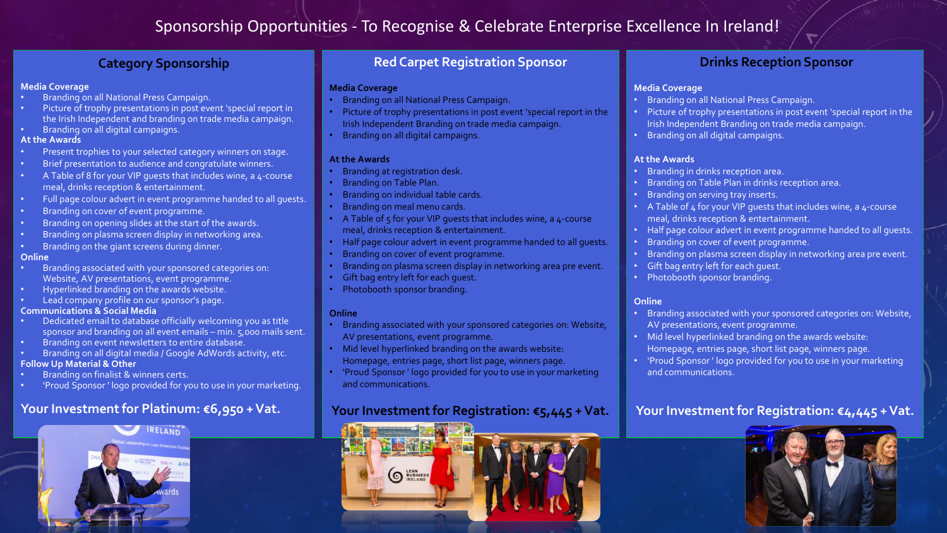## Sponsorship Opportunities - To Recognise & Celebrate Enterprise Excellence In Ireland!

## **Category Sponsorship**

#### **Media Coverage**

- Branding on all National Press Campaign.
- Picture of trophy presentations in post event 'special report in the Irish Independent and branding on trade media campaign.
- Branding on all digital campaigns.

#### **At the Awards**

- Present trophies to your selected category winners on stage.
- Brief presentation to audience and congratulate winners.
- A Table of 8 for your VIP guests that includes wine, a 4-course meal, drinks reception & entertainment.
- Full page colour advert in event programme handed to all guests.
- Branding on cover of event programme.
- Branding on opening slides at the start of the awards.
- Branding on plasma screen display in networking area.
- Branding on the giant screens during dinner.

#### **Online**

- Branding associated with your sponsored categories on: Website, AV presentations, event programme.
- Hyperlinked branding on the awards website.
- Lead company profile on our sponsor's page.

#### **Communications & Social Media**

- Dedicated email to database officially welcoming you as title sponsor and branding on all event emails – min. 5,000 mails sent.
- Branding on event newsletters to entire database.
- Branding on all digital media / Google AdWords activity, etc. **Follow Up Material & Other**
- Branding on finalist & winners certs.
- 'Proud Sponsor ' logo provided for you to use in your marketing.

## **Your Investment for Platinum: €6,950 + Vat.**



### **Red Carpet Registration Sponsor**

#### **Media Coverage**

- Branding on all National Press Campaign.
- Picture of trophy presentations in post event 'special report in the Irish Independent Branding on trade media campaign.
- Branding on all digital campaigns.

#### **At the Awards**

- Branding at registration desk.
- Branding on Table Plan.
- Branding on individual table cards.
- Branding on meal menu cards.
- A Table of  $5$  for your VIP quests that includes wine, a  $4$ -course meal, drinks reception & entertainment.
- Half page colour advert in event programme handed to all guests.
- Branding on cover of event programme.
- Branding on plasma screen display in networking area pre event.
- Gift bag entry left for each quest.
- Photobooth sponsor branding.

#### **Online**

- Branding associated with your sponsored categories on: Website, AV presentations, event programme.
- Mid level hyperlinked branding on the awards website: Homepage, entries page, short list page, winners page.
- 'Proud Sponsor ' logo provided for you to use in your marketing and communications.

## **Your Investment for Registration: €5,445 + Vat.**



### **Drinks Reception Sponsor**

#### **Media Coverage**

- Branding on all National Press Campaign.
- Picture of trophy presentations in post event 'special report in the Irish Independent Branding on trade media campaign.
- Branding on all digital campaigns.

#### **At the Awards**

- Branding in drinks reception area.
- Branding on Table Plan in drinks reception area.
- Branding on serving tray inserts.
- A Table of  $4$  for your VIP quests that includes wine, a  $4$ -course meal, drinks reception & entertainment.
- Half page colour advert in event programme handed to all guests.
- Branding on cover of event programme.
- Branding on plasma screen display in networking area pre event.
- Gift bag entry left for each guest.
- Photobooth sponsor branding.

#### **Online**

- Branding associated with your sponsored categories on: Website, AV presentations, event programme.
- Mid level hyperlinked branding on the awards website: Homepage, entries page, short list page, winners page.
- 'Proud Sponsor ' logo provided for you to use in your marketing and communications.

## **Your Investment for Registration: €4,445 + Vat.**